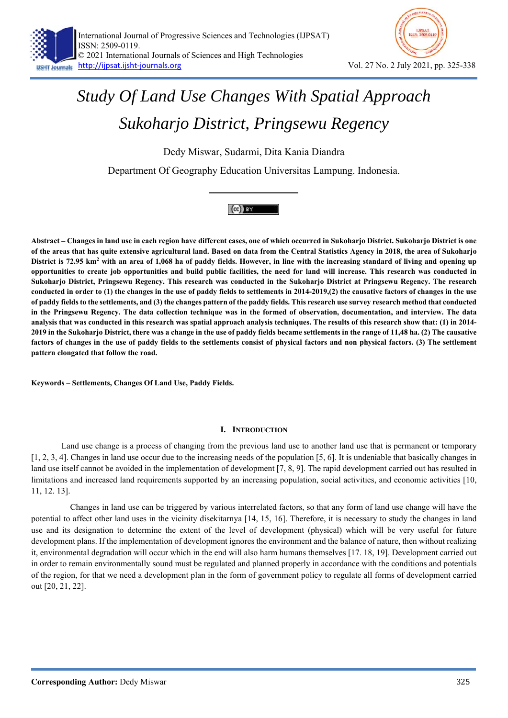

Dedy Miswar, Sudarmi, Dita Kania Diandra

Department Of Geography Education Universitas Lampung. Indonesia.



**Abstract – Changes in land use in each region have different cases, one of which occurred in Sukoharjo District. Sukoharjo District is one of the areas that has quite extensive agricultural land. Based on data from the Central Statistics Agency in 2018, the area of Sukoharjo**  District is 72.95 km<sup>2</sup> with an area of 1,068 ha of paddy fields. However, in line with the increasing standard of living and opening up **opportunities to create job opportunities and build public facilities, the need for land will increase. This research was conducted in Sukoharjo District, Pringsewu Regency. This research was conducted in the Sukoharjo District at Pringsewu Regency. The research conducted in order to (1) the changes in the use of paddy fields to settlements in 2014-2019,(2) the causative factors of changes in the use of paddy fields to the settlements, and (3) the changes pattern of the paddy fields. This research use survey research method that conducted in the Pringsewu Regency. The data collection technique was in the formed of observation, documentation, and interview. The data analysis that was conducted in this research was spatial approach analysis techniques. The results of this research show that: (1) in 2014- 2019 in the Sukoharjo District, there was a change in the use of paddy fields became settlements in the range of 11,48 ha. (2) The causative**  factors of changes in the use of paddy fields to the settlements consist of physical factors and non physical factors. (3) The settlement **pattern elongated that follow the road.** 

**Keywords – Settlements, Changes Of Land Use, Paddy Fields.** 

## **I. INTRODUCTION**

 Land use change is a process of changing from the previous land use to another land use that is permanent or temporary [1, 2, 3, 4]. Changes in land use occur due to the increasing needs of the population [5, 6]. It is undeniable that basically changes in land use itself cannot be avoided in the implementation of development [7, 8, 9]. The rapid development carried out has resulted in limitations and increased land requirements supported by an increasing population, social activities, and economic activities [10, 11, 12. 13].

 Changes in land use can be triggered by various interrelated factors, so that any form of land use change will have the potential to affect other land uses in the vicinity disekitarnya [14, 15, 16]. Therefore, it is necessary to study the changes in land use and its designation to determine the extent of the level of development (physical) which will be very useful for future development plans. If the implementation of development ignores the environment and the balance of nature, then without realizing it, environmental degradation will occur which in the end will also harm humans themselves [17. 18, 19]. Development carried out in order to remain environmentally sound must be regulated and planned properly in accordance with the conditions and potentials of the region, for that we need a development plan in the form of government policy to regulate all forms of development carried out [20, 21, 22].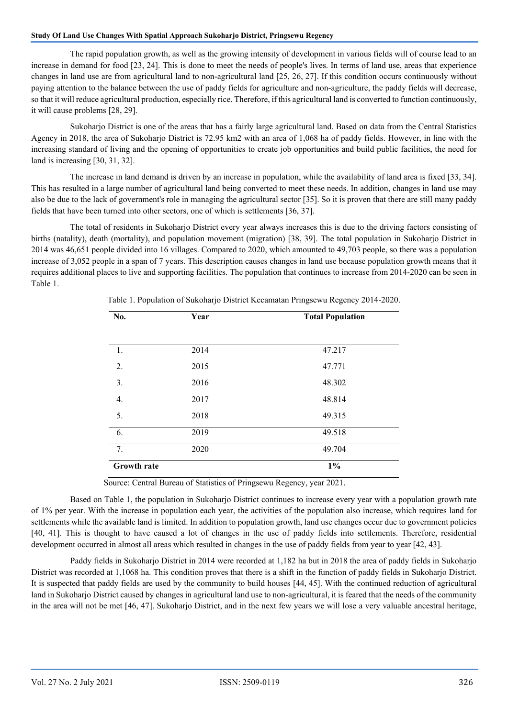The rapid population growth, as well as the growing intensity of development in various fields will of course lead to an increase in demand for food [23, 24]. This is done to meet the needs of people's lives. In terms of land use, areas that experience changes in land use are from agricultural land to non-agricultural land [25, 26, 27]. If this condition occurs continuously without paying attention to the balance between the use of paddy fields for agriculture and non-agriculture, the paddy fields will decrease, so that it will reduce agricultural production, especially rice. Therefore, if this agricultural land is converted to function continuously, it will cause problems [28, 29].

 Sukoharjo District is one of the areas that has a fairly large agricultural land. Based on data from the Central Statistics Agency in 2018, the area of Sukoharjo District is 72.95 km2 with an area of 1,068 ha of paddy fields. However, in line with the increasing standard of living and the opening of opportunities to create job opportunities and build public facilities, the need for land is increasing [30, 31, 32].

 The increase in land demand is driven by an increase in population, while the availability of land area is fixed [33, 34]. This has resulted in a large number of agricultural land being converted to meet these needs. In addition, changes in land use may also be due to the lack of government's role in managing the agricultural sector [35]. So it is proven that there are still many paddy fields that have been turned into other sectors, one of which is settlements [36, 37].

 The total of residents in Sukoharjo District every year always increases this is due to the driving factors consisting of births (natality), death (mortality), and population movement (migration) [38, 39]. The total population in Sukoharjo District in 2014 was 46,651 people divided into 16 villages. Compared to 2020, which amounted to 49,703 people, so there was a population increase of 3,052 people in a span of 7 years. This description causes changes in land use because population growth means that it requires additional places to live and supporting facilities. The population that continues to increase from 2014-2020 can be seen in Table 1.

| No.                | <b>Total Population</b><br>Year |        |
|--------------------|---------------------------------|--------|
|                    |                                 |        |
| 1.                 | 2014                            | 47.217 |
| 2.                 | 2015                            | 47.771 |
| 3.                 | 2016                            | 48.302 |
| 4.                 | 2017                            | 48.814 |
| 5.                 | 2018                            | 49.315 |
| 6.                 | 2019                            | 49.518 |
| 7.                 | 2020                            | 49.704 |
| <b>Growth rate</b> |                                 | $1\%$  |

Table 1. Population of Sukoharjo District Kecamatan Pringsewu Regency 2014-2020.

Source: Central Bureau of Statistics of Pringsewu Regency, year 2021.

 Based on Table 1, the population in Sukoharjo District continues to increase every year with a population growth rate of 1% per year. With the increase in population each year, the activities of the population also increase, which requires land for settlements while the available land is limited. In addition to population growth, land use changes occur due to government policies [40, 41]. This is thought to have caused a lot of changes in the use of paddy fields into settlements. Therefore, residential development occurred in almost all areas which resulted in changes in the use of paddy fields from year to year [42, 43].

 Paddy fields in Sukoharjo District in 2014 were recorded at 1,182 ha but in 2018 the area of paddy fields in Sukoharjo District was recorded at 1,1068 ha. This condition proves that there is a shift in the function of paddy fields in Sukoharjo District. It is suspected that paddy fields are used by the community to build houses [44, 45]. With the continued reduction of agricultural land in Sukoharjo District caused by changes in agricultural land use to non-agricultural, it is feared that the needs of the community in the area will not be met [46, 47]. Sukoharjo District, and in the next few years we will lose a very valuable ancestral heritage,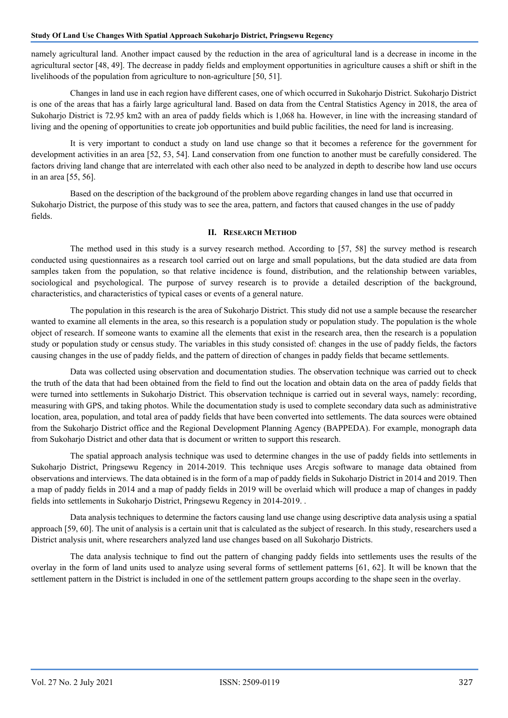namely agricultural land. Another impact caused by the reduction in the area of agricultural land is a decrease in income in the agricultural sector [48, 49]. The decrease in paddy fields and employment opportunities in agriculture causes a shift or shift in the livelihoods of the population from agriculture to non-agriculture [50, 51].

 Changes in land use in each region have different cases, one of which occurred in Sukoharjo District. Sukoharjo District is one of the areas that has a fairly large agricultural land. Based on data from the Central Statistics Agency in 2018, the area of Sukoharjo District is 72.95 km2 with an area of paddy fields which is 1,068 ha. However, in line with the increasing standard of living and the opening of opportunities to create job opportunities and build public facilities, the need for land is increasing.

 It is very important to conduct a study on land use change so that it becomes a reference for the government for development activities in an area [52, 53, 54]. Land conservation from one function to another must be carefully considered. The factors driving land change that are interrelated with each other also need to be analyzed in depth to describe how land use occurs in an area [55, 56].

 Based on the description of the background of the problem above regarding changes in land use that occurred in Sukoharjo District, the purpose of this study was to see the area, pattern, and factors that caused changes in the use of paddy fields.

## **II. RESEARCH METHOD**

 The method used in this study is a survey research method. According to [57, 58] the survey method is research conducted using questionnaires as a research tool carried out on large and small populations, but the data studied are data from samples taken from the population, so that relative incidence is found, distribution, and the relationship between variables, sociological and psychological. The purpose of survey research is to provide a detailed description of the background, characteristics, and characteristics of typical cases or events of a general nature.

 The population in this research is the area of Sukoharjo District. This study did not use a sample because the researcher wanted to examine all elements in the area, so this research is a population study or population study. The population is the whole object of research. If someone wants to examine all the elements that exist in the research area, then the research is a population study or population study or census study. The variables in this study consisted of: changes in the use of paddy fields, the factors causing changes in the use of paddy fields, and the pattern of direction of changes in paddy fields that became settlements.

 Data was collected using observation and documentation studies. The observation technique was carried out to check the truth of the data that had been obtained from the field to find out the location and obtain data on the area of paddy fields that were turned into settlements in Sukoharjo District. This observation technique is carried out in several ways, namely: recording, measuring with GPS, and taking photos. While the documentation study is used to complete secondary data such as administrative location, area, population, and total area of paddy fields that have been converted into settlements. The data sources were obtained from the Sukoharjo District office and the Regional Development Planning Agency (BAPPEDA). For example, monograph data from Sukoharjo District and other data that is document or written to support this research.

 The spatial approach analysis technique was used to determine changes in the use of paddy fields into settlements in Sukoharjo District, Pringsewu Regency in 2014-2019. This technique uses Arcgis software to manage data obtained from observations and interviews. The data obtained is in the form of a map of paddy fields in Sukoharjo District in 2014 and 2019. Then a map of paddy fields in 2014 and a map of paddy fields in 2019 will be overlaid which will produce a map of changes in paddy fields into settlements in Sukoharjo District, Pringsewu Regency in 2014-2019. .

 Data analysis techniques to determine the factors causing land use change using descriptive data analysis using a spatial approach [59, 60]. The unit of analysis is a certain unit that is calculated as the subject of research. In this study, researchers used a District analysis unit, where researchers analyzed land use changes based on all Sukoharjo Districts.

 The data analysis technique to find out the pattern of changing paddy fields into settlements uses the results of the overlay in the form of land units used to analyze using several forms of settlement patterns [61, 62]. It will be known that the settlement pattern in the District is included in one of the settlement pattern groups according to the shape seen in the overlay.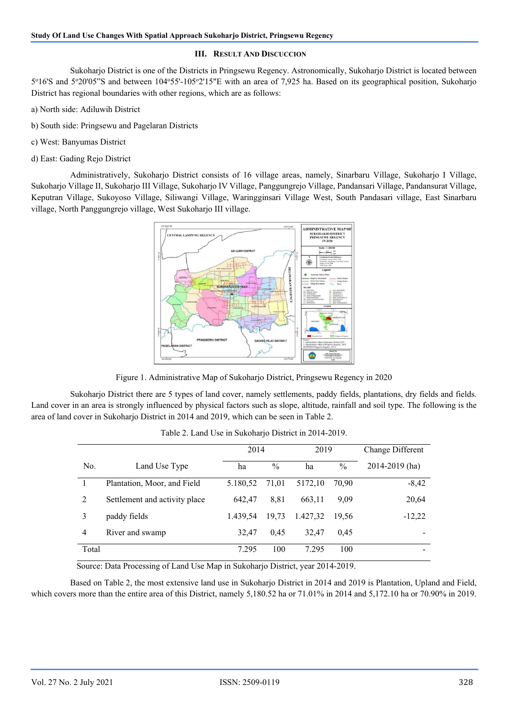## **III. RESULT AND DISCUCCION**

 Sukoharjo District is one of the Districts in Pringsewu Regency. Astronomically, Sukoharjo District is located between 5°16'S and 5°20'05"S and between 104°55'-105°2'15"E with an area of 7,925 ha. Based on its geographical position, Sukoharjo District has regional boundaries with other regions, which are as follows:

- a) North side: Adiluwih District
- b) South side: Pringsewu and Pagelaran Districts
- c) West: Banyumas District
- d) East: Gading Rejo District

 Administratively, Sukoharjo District consists of 16 village areas, namely, Sinarbaru Village, Sukoharjo I Village, Sukoharjo Village II, Sukoharjo III Village, Sukoharjo IV Village, Panggungrejo Village, Pandansari Village, Pandansurat Village, Keputran Village, Sukoyoso Village, Siliwangi Village, Waringginsari Village West, South Pandasari village, East Sinarbaru village, North Panggungrejo village, West Sukoharjo III village.



Figure 1. Administrative Map of Sukoharjo District, Pringsewu Regency in 2020

 Sukoharjo District there are 5 types of land cover, namely settlements, paddy fields, plantations, dry fields and fields. Land cover in an area is strongly influenced by physical factors such as slope, altitude, rainfall and soil type. The following is the area of land cover in Sukoharjo District in 2014 and 2019, which can be seen in Table 2.

|       |                               | 2014     |               | 2019     |               | Change Different |
|-------|-------------------------------|----------|---------------|----------|---------------|------------------|
| No.   | Land Use Type                 | ha       | $\frac{0}{0}$ | ha       | $\frac{0}{0}$ | 2014-2019 (ha)   |
|       | Plantation, Moor, and Field   | 5.180,52 | 71,01         | 5172.10  | 70.90         | $-8,42$          |
| 2     | Settlement and activity place | 642.47   | 8,81          | 663.11   | 9.09          | 20,64            |
| 3     | paddy fields                  | 1.439.54 | 19,73         | 1.427,32 | 19.56         | $-12,22$         |
| 4     | River and swamp               | 32.47    | 0.45          | 32.47    | 0.45          |                  |
| Total |                               | 7.295    | 100           | 7.295    | 100           |                  |

Table 2. Land Use in Sukoharjo District in 2014-2019.

Source: Data Processing of Land Use Map in Sukoharjo District, year 2014-2019.

 Based on Table 2, the most extensive land use in Sukoharjo District in 2014 and 2019 is Plantation, Upland and Field, which covers more than the entire area of this District, namely 5,180.52 ha or 71.01% in 2014 and 5,172.10 ha or 70.90% in 2019.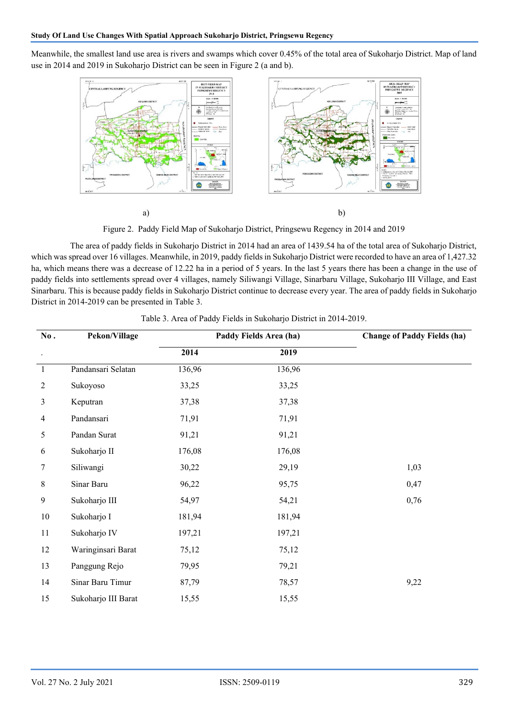Meanwhile, the smallest land use area is rivers and swamps which cover 0.45% of the total area of Sukoharjo District. Map of land use in 2014 and 2019 in Sukoharjo District can be seen in Figure 2 (a and b).



Figure 2. Paddy Field Map of Sukoharjo District, Pringsewu Regency in 2014 and 2019

 The area of paddy fields in Sukoharjo District in 2014 had an area of 1439.54 ha of the total area of Sukoharjo District, which was spread over 16 villages. Meanwhile, in 2019, paddy fields in Sukoharjo District were recorded to have an area of 1,427.32 ha, which means there was a decrease of 12.22 ha in a period of 5 years. In the last 5 years there has been a change in the use of paddy fields into settlements spread over 4 villages, namely Siliwangi Village, Sinarbaru Village, Sukoharjo III Village, and East Sinarbaru. This is because paddy fields in Sukoharjo District continue to decrease every year. The area of paddy fields in Sukoharjo District in 2014-2019 can be presented in Table 3.

| No.<br>Pekon/Village |                     |        | Paddy Fields Area (ha) | <b>Change of Paddy Fields (ha)</b> |
|----------------------|---------------------|--------|------------------------|------------------------------------|
| $\bullet$            |                     | 2014   | 2019                   |                                    |
| $\mathbf{1}$         | Pandansari Selatan  | 136,96 | 136,96                 |                                    |
| 2                    | Sukoyoso            | 33,25  | 33,25                  |                                    |
| 3                    | Keputran            | 37,38  | 37,38                  |                                    |
| 4                    | Pandansari          | 71,91  | 71,91                  |                                    |
| 5                    | Pandan Surat        | 91,21  | 91,21                  |                                    |
| 6                    | Sukoharjo II        | 176,08 | 176,08                 |                                    |
| 7                    | Siliwangi           | 30,22  | 29,19                  | 1,03                               |
| $\,8\,$              | Sinar Baru          | 96,22  | 95,75                  | 0,47                               |
| 9                    | Sukoharjo III       | 54,97  | 54,21                  | 0,76                               |
| $10\,$               | Sukoharjo I         | 181,94 | 181,94                 |                                    |
| 11                   | Sukoharjo IV        | 197,21 | 197,21                 |                                    |
| 12                   | Waringinsari Barat  | 75,12  | 75,12                  |                                    |
| 13                   | Panggung Rejo       | 79,95  | 79,21                  |                                    |
| 14                   | Sinar Baru Timur    | 87,79  | 78,57                  | 9,22                               |
| 15                   | Sukoharjo III Barat | 15,55  | 15,55                  |                                    |

Table 3. Area of Paddy Fields in Sukoharjo District in 2014-2019.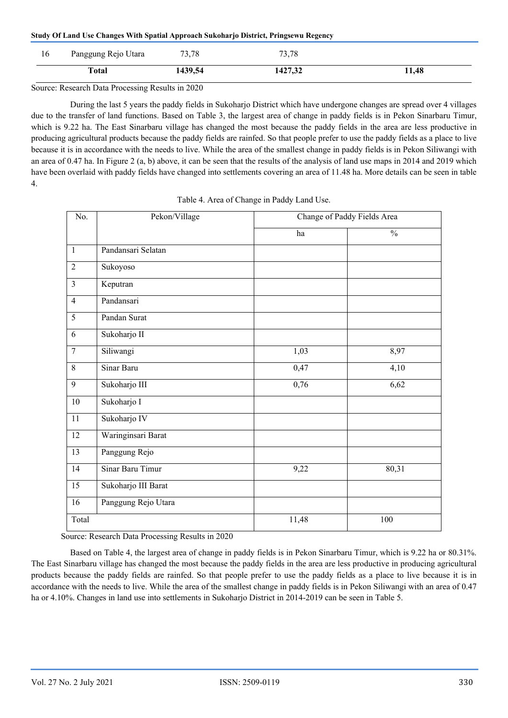| Study Of Land Use Changes With Spatial Approach Sukoharjo District, Pringsewu Regency |  |  |  |
|---------------------------------------------------------------------------------------|--|--|--|
|---------------------------------------------------------------------------------------|--|--|--|

| 10 | Panggung Rejo Utara | 73,78   | 73,78   |       |
|----|---------------------|---------|---------|-------|
|    | <b>Total</b>        | 1439,54 | 1427,32 | 11,48 |

Source: Research Data Processing Results in 2020

 During the last 5 years the paddy fields in Sukoharjo District which have undergone changes are spread over 4 villages due to the transfer of land functions. Based on Table 3, the largest area of change in paddy fields is in Pekon Sinarbaru Timur, which is 9.22 ha. The East Sinarbaru village has changed the most because the paddy fields in the area are less productive in producing agricultural products because the paddy fields are rainfed. So that people prefer to use the paddy fields as a place to live because it is in accordance with the needs to live. While the area of the smallest change in paddy fields is in Pekon Siliwangi with an area of 0.47 ha. In Figure 2 (a, b) above, it can be seen that the results of the analysis of land use maps in 2014 and 2019 which have been overlaid with paddy fields have changed into settlements covering an area of 11.48 ha. More details can be seen in table 4.

| No.              | Pekon/Village       |       | Change of Paddy Fields Area |
|------------------|---------------------|-------|-----------------------------|
|                  |                     | ha    | $\frac{0}{0}$               |
| $\mathbf{1}$     | Pandansari Selatan  |       |                             |
| $\overline{2}$   | Sukoyoso            |       |                             |
| 3                | Keputran            |       |                             |
| 4                | Pandansari          |       |                             |
| 5                | Pandan Surat        |       |                             |
| 6                | Sukoharjo II        |       |                             |
| $\boldsymbol{7}$ | Siliwangi           | 1,03  | 8,97                        |
| $\,8\,$          | Sinar Baru          | 0,47  | 4,10                        |
| 9                | Sukoharjo III       | 0,76  | 6,62                        |
| 10               | Sukoharjo I         |       |                             |
| 11               | Sukoharjo IV        |       |                             |
| 12               | Waringinsari Barat  |       |                             |
| 13               | Panggung Rejo       |       |                             |
| 14               | Sinar Baru Timur    | 9,22  | 80,31                       |
| 15               | Sukoharjo III Barat |       |                             |
| 16               | Panggung Rejo Utara |       |                             |
| Total            |                     | 11,48 | 100                         |

| Table 4. Area of Change in Paddy Land Use. |  |  |
|--------------------------------------------|--|--|
|                                            |  |  |

Source: Research Data Processing Results in 2020

 Based on Table 4, the largest area of change in paddy fields is in Pekon Sinarbaru Timur, which is 9.22 ha or 80.31%. The East Sinarbaru village has changed the most because the paddy fields in the area are less productive in producing agricultural products because the paddy fields are rainfed. So that people prefer to use the paddy fields as a place to live because it is in accordance with the needs to live. While the area of the smallest change in paddy fields is in Pekon Siliwangi with an area of 0.47 ha or 4.10%. Changes in land use into settlements in Sukoharjo District in 2014-2019 can be seen in Table 5.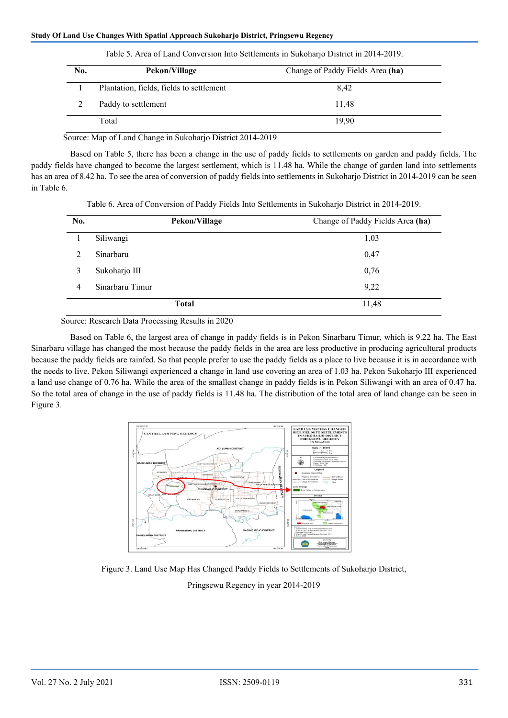| No. | Pekon/Village                            | Change of Paddy Fields Area (ha) |
|-----|------------------------------------------|----------------------------------|
|     | Plantation, fields, fields to settlement | 8,42                             |
|     | Paddy to settlement                      | 11.48                            |
|     | Total                                    | 19,90                            |

Table 5. Area of Land Conversion Into Settlements in Sukoharjo District in 2014-2019.

Source: Map of Land Change in Sukoharjo District 2014-2019

 Based on Table 5, there has been a change in the use of paddy fields to settlements on garden and paddy fields. The paddy fields have changed to become the largest settlement, which is 11.48 ha. While the change of garden land into settlements has an area of 8.42 ha. To see the area of conversion of paddy fields into settlements in Sukoharjo District in 2014-2019 can be seen in Table 6.

Table 6. Area of Conversion of Paddy Fields Into Settlements in Sukoharjo District in 2014-2019.

| No. | Pekon/Village   | Change of Paddy Fields Area (ha) |
|-----|-----------------|----------------------------------|
|     | Siliwangi       | 1,03                             |
| 2   | Sinarbaru       | 0,47                             |
| 3   | Sukoharjo III   | 0,76                             |
| 4   | Sinarbaru Timur | 9,22                             |
|     | <b>Total</b>    | 11,48                            |

Source: Research Data Processing Results in 2020

 Based on Table 6, the largest area of change in paddy fields is in Pekon Sinarbaru Timur, which is 9.22 ha. The East Sinarbaru village has changed the most because the paddy fields in the area are less productive in producing agricultural products because the paddy fields are rainfed. So that people prefer to use the paddy fields as a place to live because it is in accordance with the needs to live. Pekon Siliwangi experienced a change in land use covering an area of 1.03 ha. Pekon Sukoharjo III experienced a land use change of 0.76 ha. While the area of the smallest change in paddy fields is in Pekon Siliwangi with an area of 0.47 ha. So the total area of change in the use of paddy fields is 11.48 ha. The distribution of the total area of land change can be seen in Figure 3.



Figure 3. Land Use Map Has Changed Paddy Fields to Settlements of Sukoharjo District,

Pringsewu Regency in year 2014-2019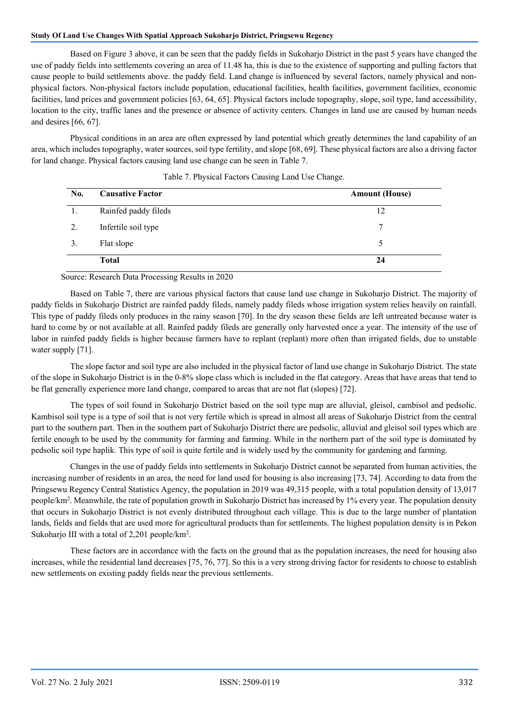Based on Figure 3 above, it can be seen that the paddy fields in Sukoharjo District in the past 5 years have changed the use of paddy fields into settlements covering an area of 11.48 ha, this is due to the existence of supporting and pulling factors that cause people to build settlements above. the paddy field. Land change is influenced by several factors, namely physical and nonphysical factors. Non-physical factors include population, educational facilities, health facilities, government facilities, economic facilities, land prices and government policies [63, 64, 65]. Physical factors include topography, slope, soil type, land accessibility, location to the city, traffic lanes and the presence or absence of activity centers. Changes in land use are caused by human needs and desires [66, 67].

 Physical conditions in an area are often expressed by land potential which greatly determines the land capability of an area, which includes topography, water sources, soil type fertility, and slope [68, 69]. These physical factors are also a driving factor for land change. Physical factors causing land use change can be seen in Table 7.

| No. | <b>Causative Factor</b> | <b>Amount (House)</b> |
|-----|-------------------------|-----------------------|
| 1.  | Rainfed paddy fileds    | 12                    |
| 2.  | Infertile soil type     | 7                     |
| 3.  | Flat slope              |                       |
|     | <b>Total</b>            | 24                    |

| Table 7. Physical Factors Causing Land Use Change. |  |  |  |
|----------------------------------------------------|--|--|--|
|                                                    |  |  |  |

Source: Research Data Processing Results in 2020

 Based on Table 7, there are various physical factors that cause land use change in Sukoharjo District. The majority of paddy fields in Sukoharjo District are rainfed paddy fileds, namely paddy fileds whose irrigation system relies heavily on rainfall. This type of paddy fileds only produces in the rainy season [70]. In the dry season these fields are left untreated because water is hard to come by or not available at all. Rainfed paddy fileds are generally only harvested once a year. The intensity of the use of labor in rainfed paddy fields is higher because farmers have to replant (replant) more often than irrigated fields, due to unstable water supply [71].

 The slope factor and soil type are also included in the physical factor of land use change in Sukoharjo District. The state of the slope in Sukoharjo District is in the 0-8% slope class which is included in the flat category. Areas that have areas that tend to be flat generally experience more land change, compared to areas that are not flat (slopes) [72].

 The types of soil found in Sukoharjo District based on the soil type map are alluvial, gleisol, cambisol and pedsolic. Kambisol soil type is a type of soil that is not very fertile which is spread in almost all areas of Sukoharjo District from the central part to the southern part. Then in the southern part of Sukoharjo District there are pedsolic, alluvial and gleisol soil types which are fertile enough to be used by the community for farming and farming. While in the northern part of the soil type is dominated by pedsolic soil type haplik. This type of soil is quite fertile and is widely used by the community for gardening and farming.

 Changes in the use of paddy fields into settlements in Sukoharjo District cannot be separated from human activities, the increasing number of residents in an area, the need for land used for housing is also increasing [73, 74]. According to data from the Pringsewu Regency Central Statistics Agency, the population in 2019 was 49,315 people, with a total population density of 13,017 people/km<sup>2</sup>. Meanwhile, the rate of population growth in Sukoharjo District has increased by 1% every year. The population density that occurs in Sukoharjo District is not evenly distributed throughout each village. This is due to the large number of plantation lands, fields and fields that are used more for agricultural products than for settlements. The highest population density is in Pekon Sukoharjo III with a total of 2,201 people/km<sup>2</sup>.

 These factors are in accordance with the facts on the ground that as the population increases, the need for housing also increases, while the residential land decreases [75, 76, 77]. So this is a very strong driving factor for residents to choose to establish new settlements on existing paddy fields near the previous settlements.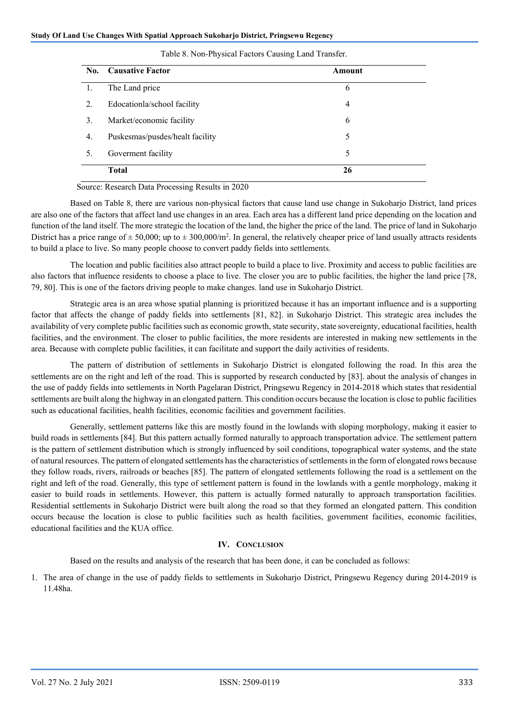| No. | <b>Causative Factor</b>         | Amount         |  |
|-----|---------------------------------|----------------|--|
|     | The Land price                  | 6              |  |
| 2.  | Edocationla/school facility     | $\overline{4}$ |  |
| 3.  | Market/economic facility        | 6              |  |
| 4.  | Puskesmas/pusdes/healt facility | 5              |  |
| 5.  | Goverment facility              | 5              |  |
|     | Total                           | 26             |  |

#### Table 8. Non-Physical Factors Causing Land Transfer.

Source: Research Data Processing Results in 2020

 Based on Table 8, there are various non-physical factors that cause land use change in Sukoharjo District, land prices are also one of the factors that affect land use changes in an area. Each area has a different land price depending on the location and function of the land itself. The more strategic the location of the land, the higher the price of the land. The price of land in Sukoharjo District has a price range of  $\pm 50,000$ ; up to  $\pm 300,000$ /m<sup>2</sup>. In general, the relatively cheaper price of land usually attracts residents to build a place to live. So many people choose to convert paddy fields into settlements.

 The location and public facilities also attract people to build a place to live. Proximity and access to public facilities are also factors that influence residents to choose a place to live. The closer you are to public facilities, the higher the land price [78, 79, 80]. This is one of the factors driving people to make changes. land use in Sukoharjo District.

 Strategic area is an area whose spatial planning is prioritized because it has an important influence and is a supporting factor that affects the change of paddy fields into settlements [81, 82]. in Sukoharjo District. This strategic area includes the availability of very complete public facilities such as economic growth, state security, state sovereignty, educational facilities, health facilities, and the environment. The closer to public facilities, the more residents are interested in making new settlements in the area. Because with complete public facilities, it can facilitate and support the daily activities of residents.

 The pattern of distribution of settlements in Sukoharjo District is elongated following the road. In this area the settlements are on the right and left of the road. This is supported by research conducted by [83]. about the analysis of changes in the use of paddy fields into settlements in North Pagelaran District, Pringsewu Regency in 2014-2018 which states that residential settlements are built along the highway in an elongated pattern. This condition occurs because the location is close to public facilities such as educational facilities, health facilities, economic facilities and government facilities.

 Generally, settlement patterns like this are mostly found in the lowlands with sloping morphology, making it easier to build roads in settlements [84]. But this pattern actually formed naturally to approach transportation advice. The settlement pattern is the pattern of settlement distribution which is strongly influenced by soil conditions, topographical water systems, and the state of natural resources. The pattern of elongated settlements has the characteristics of settlements in the form of elongated rows because they follow roads, rivers, railroads or beaches [85]. The pattern of elongated settlements following the road is a settlement on the right and left of the road. Generally, this type of settlement pattern is found in the lowlands with a gentle morphology, making it easier to build roads in settlements. However, this pattern is actually formed naturally to approach transportation facilities. Residential settlements in Sukoharjo District were built along the road so that they formed an elongated pattern. This condition occurs because the location is close to public facilities such as health facilities, government facilities, economic facilities, educational facilities and the KUA office.

## **IV. CONCLUSION**

Based on the results and analysis of the research that has been done, it can be concluded as follows:

1. The area of change in the use of paddy fields to settlements in Sukoharjo District, Pringsewu Regency during 2014-2019 is 11.48ha.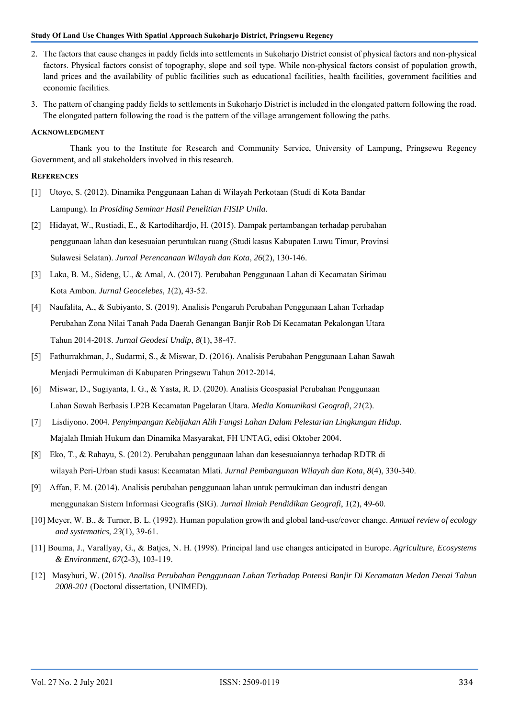- 2. The factors that cause changes in paddy fields into settlements in Sukoharjo District consist of physical factors and non-physical factors. Physical factors consist of topography, slope and soil type. While non-physical factors consist of population growth, land prices and the availability of public facilities such as educational facilities, health facilities, government facilities and economic facilities.
- 3. The pattern of changing paddy fields to settlements in Sukoharjo District is included in the elongated pattern following the road. The elongated pattern following the road is the pattern of the village arrangement following the paths.

#### **ACKNOWLEDGMENT**

 Thank you to the Institute for Research and Community Service, University of Lampung, Pringsewu Regency Government, and all stakeholders involved in this research.

#### **REFERENCES**

- [1] Utoyo, S. (2012). Dinamika Penggunaan Lahan di Wilayah Perkotaan (Studi di Kota Bandar Lampung). In *Prosiding Seminar Hasil Penelitian FISIP Unila*.
- [2] Hidayat, W., Rustiadi, E., & Kartodihardjo, H. (2015). Dampak pertambangan terhadap perubahan penggunaan lahan dan kesesuaian peruntukan ruang (Studi kasus Kabupaten Luwu Timur, Provinsi Sulawesi Selatan). *Jurnal Perencanaan Wilayah dan Kota*, *26*(2), 130-146.
- [3] Laka, B. M., Sideng, U., & Amal, A. (2017). Perubahan Penggunaan Lahan di Kecamatan Sirimau Kota Ambon. *Jurnal Geocelebes*, *1*(2), 43-52.
- [4] Naufalita, A., & Subiyanto, S. (2019). Analisis Pengaruh Perubahan Penggunaan Lahan Terhadap Perubahan Zona Nilai Tanah Pada Daerah Genangan Banjir Rob Di Kecamatan Pekalongan Utara Tahun 2014-2018. *Jurnal Geodesi Undip*, *8*(1), 38-47.
- [5] Fathurrakhman, J., Sudarmi, S., & Miswar, D. (2016). Analisis Perubahan Penggunaan Lahan Sawah Menjadi Permukiman di Kabupaten Pringsewu Tahun 2012-2014.
- [6] Miswar, D., Sugiyanta, I. G., & Yasta, R. D. (2020). Analisis Geospasial Perubahan Penggunaan Lahan Sawah Berbasis LP2B Kecamatan Pagelaran Utara. *Media Komunikasi Geografi*, *21*(2).
- [7] Lisdiyono. 2004. *Penyimpangan Kebijakan Alih Fungsi Lahan Dalam Pelestarian Lingkungan Hidup*. Majalah Ilmiah Hukum dan Dinamika Masyarakat, FH UNTAG, edisi Oktober 2004.
- [8] Eko, T., & Rahayu, S. (2012). Perubahan penggunaan lahan dan kesesuaiannya terhadap RDTR di wilayah Peri-Urban studi kasus: Kecamatan Mlati. *Jurnal Pembangunan Wilayah dan Kota*, *8*(4), 330-340.
- [9] Affan, F. M. (2014). Analisis perubahan penggunaan lahan untuk permukiman dan industri dengan menggunakan Sistem Informasi Geografis (SIG). *Jurnal Ilmiah Pendidikan Geografi*, *1*(2), 49-60.
- [10] Meyer, W. B., & Turner, B. L. (1992). Human population growth and global land-use/cover change. *Annual review of ecology and systematics*, *23*(1), 39-61.
- [11] Bouma, J., Varallyay, G., & Batjes, N. H. (1998). Principal land use changes anticipated in Europe. *Agriculture, Ecosystems & Environment*, *67*(2-3), 103-119.
- [12] Masyhuri, W. (2015). *Analisa Perubahan Penggunaan Lahan Terhadap Potensi Banjir Di Kecamatan Medan Denai Tahun 2008-201* (Doctoral dissertation, UNIMED).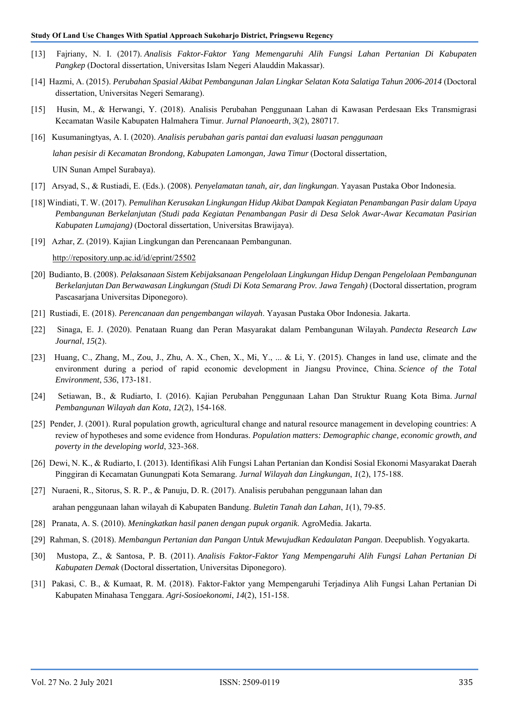- [13] Fajriany, N. I. (2017). *Analisis Faktor-Faktor Yang Memengaruhi Alih Fungsi Lahan Pertanian Di Kabupaten Pangkep* (Doctoral dissertation, Universitas Islam Negeri Alauddin Makassar).
- [14] Hazmi, A. (2015). *Perubahan Spasial Akibat Pembangunan Jalan Lingkar Selatan Kota Salatiga Tahun 2006-2014* (Doctoral dissertation, Universitas Negeri Semarang).
- [15] Husin, M., & Herwangi, Y. (2018). Analisis Perubahan Penggunaan Lahan di Kawasan Perdesaan Eks Transmigrasi Kecamatan Wasile Kabupaten Halmahera Timur. *Jurnal Planoearth*, *3*(2), 280717.
- [16] Kusumaningtyas, A. I. (2020). *Analisis perubahan garis pantai dan evaluasi luasan penggunaan lahan pesisir di Kecamatan Brondong, Kabupaten Lamongan, Jawa Timur* (Doctoral dissertation, UIN Sunan Ampel Surabaya).
- [17] Arsyad, S., & Rustiadi, E. (Eds.). (2008). *Penyelamatan tanah, air, dan lingkungan*. Yayasan Pustaka Obor Indonesia.
- [18] Windiati, T. W. (2017). *Pemulihan Kerusakan Lingkungan Hidup Akibat Dampak Kegiatan Penambangan Pasir dalam Upaya Pembangunan Berkelanjutan (Studi pada Kegiatan Penambangan Pasir di Desa Selok Awar-Awar Kecamatan Pasirian Kabupaten Lumajang)* (Doctoral dissertation, Universitas Brawijaya).
- [19] Azhar, Z. (2019). Kajian Lingkungan dan Perencanaan Pembangunan.

http://repository.unp.ac.id/id/eprint/25502

- [20] Budianto, B. (2008). *Pelaksanaan Sistem Kebijaksanaan Pengelolaan Lingkungan Hidup Dengan Pengelolaan Pembangunan Berkelanjutan Dan Berwawasan Lingkungan (Studi Di Kota Semarang Prov. Jawa Tengah)* (Doctoral dissertation, program Pascasarjana Universitas Diponegoro).
- [21] Rustiadi, E. (2018). *Perencanaan dan pengembangan wilayah*. Yayasan Pustaka Obor Indonesia. Jakarta.
- [22] Sinaga, E. J. (2020). Penataan Ruang dan Peran Masyarakat dalam Pembangunan Wilayah. *Pandecta Research Law Journal*, *15*(2).
- [23] Huang, C., Zhang, M., Zou, J., Zhu, A. X., Chen, X., Mi, Y., ... & Li, Y. (2015). Changes in land use, climate and the environment during a period of rapid economic development in Jiangsu Province, China. *Science of the Total Environment*, *536*, 173-181.
- [24] Setiawan, B., & Rudiarto, I. (2016). Kajian Perubahan Penggunaan Lahan Dan Struktur Ruang Kota Bima. *Jurnal Pembangunan Wilayah dan Kota*, *12*(2), 154-168.
- [25] Pender, J. (2001). Rural population growth, agricultural change and natural resource management in developing countries: A review of hypotheses and some evidence from Honduras. *Population matters: Demographic change, economic growth, and poverty in the developing world*, 323-368.
- [26] Dewi, N. K., & Rudiarto, I. (2013). Identifikasi Alih Fungsi Lahan Pertanian dan Kondisi Sosial Ekonomi Masyarakat Daerah Pinggiran di Kecamatan Gunungpati Kota Semarang. *Jurnal Wilayah dan Lingkungan*, *1*(2), 175-188.
- [27] Nuraeni, R., Sitorus, S. R. P., & Panuju, D. R. (2017). Analisis perubahan penggunaan lahan dan arahan penggunaan lahan wilayah di Kabupaten Bandung. *Buletin Tanah dan Lahan*, *1*(1), 79-85.
- [28] Pranata, A. S. (2010). *Meningkatkan hasil panen dengan pupuk organik*. AgroMedia. Jakarta.
- [29] Rahman, S. (2018). *Membangun Pertanian dan Pangan Untuk Mewujudkan Kedaulatan Pangan*. Deepublish. Yogyakarta.
- [30] Mustopa, Z., & Santosa, P. B. (2011). *Analisis Faktor-Faktor Yang Mempengaruhi Alih Fungsi Lahan Pertanian Di Kabupaten Demak* (Doctoral dissertation, Universitas Diponegoro).
- [31] Pakasi, C. B., & Kumaat, R. M. (2018). Faktor-Faktor yang Mempengaruhi Terjadinya Alih Fungsi Lahan Pertanian Di Kabupaten Minahasa Tenggara. *Agri-Sosioekonomi*, *14*(2), 151-158.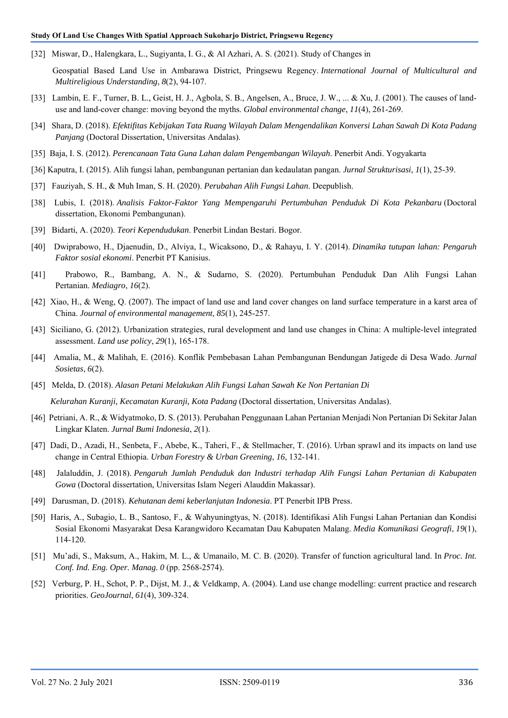[32] Miswar, D., Halengkara, L., Sugiyanta, I. G., & Al Azhari, A. S. (2021). Study of Changes in

 Geospatial Based Land Use in Ambarawa District, Pringsewu Regency. *International Journal of Multicultural and Multireligious Understanding*, *8*(2), 94-107.

- [33] Lambin, E. F., Turner, B. L., Geist, H. J., Agbola, S. B., Angelsen, A., Bruce, J. W., ... & Xu, J. (2001). The causes of landuse and land-cover change: moving beyond the myths. *Global environmental change*, *11*(4), 261-269.
- [34] Shara, D. (2018). *Efektifitas Kebijakan Tata Ruang Wilayah Dalam Mengendalikan Konversi Lahan Sawah Di Kota Padang Panjang* (Doctoral Dissertation, Universitas Andalas).
- [35] Baja, I. S. (2012). *Perencanaan Tata Guna Lahan dalam Pengembangan Wilayah*. Penerbit Andi. Yogyakarta
- [36] Kaputra, I. (2015). Alih fungsi lahan, pembangunan pertanian dan kedaulatan pangan. *Jurnal Strukturisasi*, *1*(1), 25-39.
- [37] Fauziyah, S. H., & Muh Iman, S. H. (2020). *Perubahan Alih Fungsi Lahan*. Deepublish.
- [38] Lubis, I. (2018). *Analisis Faktor-Faktor Yang Mempengaruhi Pertumbuhan Penduduk Di Kota Pekanbaru* (Doctoral dissertation, Ekonomi Pembangunan).
- [39] Bidarti, A. (2020). *Teori Kependudukan*. Penerbit Lindan Bestari. Bogor.
- [40] Dwiprabowo, H., Djaenudin, D., Alviya, I., Wicaksono, D., & Rahayu, I. Y. (2014). *Dinamika tutupan lahan: Pengaruh Faktor sosial ekonomi*. Penerbit PT Kanisius.
- [41] Prabowo, R., Bambang, A. N., & Sudarno, S. (2020). Pertumbuhan Penduduk Dan Alih Fungsi Lahan Pertanian. *Mediagro*, *16*(2).
- [42] Xiao, H., & Weng, Q. (2007). The impact of land use and land cover changes on land surface temperature in a karst area of China. *Journal of environmental management*, *85*(1), 245-257.
- [43] Siciliano, G. (2012). Urbanization strategies, rural development and land use changes in China: A multiple-level integrated assessment. *Land use policy*, *29*(1), 165-178.
- [44] Amalia, M., & Malihah, E. (2016). Konflik Pembebasan Lahan Pembangunan Bendungan Jatigede di Desa Wado. *Jurnal Sosietas*, *6*(2).
- [45] Melda, D. (2018). *Alasan Petani Melakukan Alih Fungsi Lahan Sawah Ke Non Pertanian Di Kelurahan Kuranji, Kecamatan Kuranji, Kota Padang* (Doctoral dissertation, Universitas Andalas).
- [46] Petriani, A. R., & Widyatmoko, D. S. (2013). Perubahan Penggunaan Lahan Pertanian Menjadi Non Pertanian Di Sekitar Jalan Lingkar Klaten. *Jurnal Bumi Indonesia*, *2*(1).
- [47] Dadi, D., Azadi, H., Senbeta, F., Abebe, K., Taheri, F., & Stellmacher, T. (2016). Urban sprawl and its impacts on land use change in Central Ethiopia. *Urban Forestry & Urban Greening*, *16*, 132-141.
- [48] Jalaluddin, J. (2018). *Pengaruh Jumlah Penduduk dan Industri terhadap Alih Fungsi Lahan Pertanian di Kabupaten Gowa* (Doctoral dissertation, Universitas Islam Negeri Alauddin Makassar).
- [49] Darusman, D. (2018). *Kehutanan demi keberlanjutan Indonesia*. PT Penerbit IPB Press.
- [50] Haris, A., Subagio, L. B., Santoso, F., & Wahyuningtyas, N. (2018). Identifikasi Alih Fungsi Lahan Pertanian dan Kondisi Sosial Ekonomi Masyarakat Desa Karangwidoro Kecamatan Dau Kabupaten Malang. *Media Komunikasi Geografi*, *19*(1), 114-120.
- [51] Mu'adi, S., Maksum, A., Hakim, M. L., & Umanailo, M. C. B. (2020). Transfer of function agricultural land. In *Proc. Int. Conf. Ind. Eng. Oper. Manag. 0* (pp. 2568-2574).
- [52] Verburg, P. H., Schot, P. P., Dijst, M. J., & Veldkamp, A. (2004). Land use change modelling: current practice and research priorities. *GeoJournal*, *61*(4), 309-324.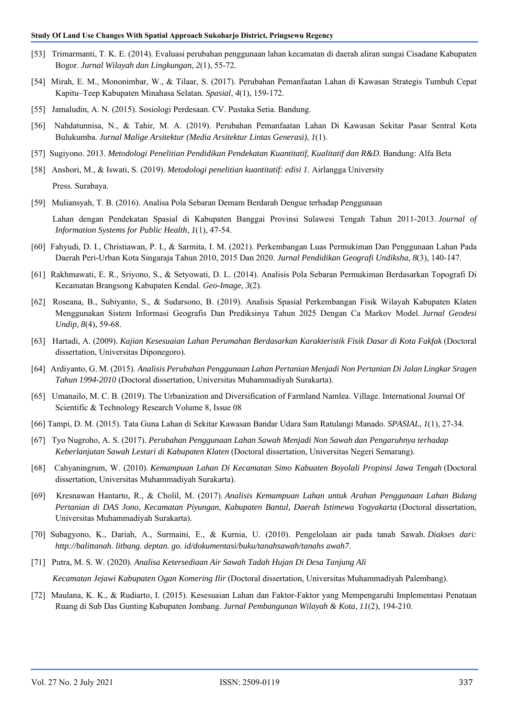- [53] Trimarmanti, T. K. E. (2014). Evaluasi perubahan penggunaan lahan kecamatan di daerah aliran sungai Cisadane Kabupaten Bogor. *Jurnal Wilayah dan Lingkungan*, *2*(1), 55-72.
- [54] Mirah, E. M., Mononimbar, W., & Tilaar, S. (2017). Perubahan Pemanfaatan Lahan di Kawasan Strategis Tumbuh Cepat Kapitu–Teep Kabupaten Minahasa Selatan. *Spasial*, *4*(1), 159-172.
- [55] Jamaludin, A. N. (2015). Sosiologi Perdesaan. CV. Pustaka Setia. Bandung.
- [56] Nahdatunnisa, N., & Tahir, M. A. (2019). Perubahan Pemanfaatan Lahan Di Kawasan Sekitar Pasar Sentral Kota Bulukumba. *Jurnal Malige Arsitektur (Media Arsitektur Lintas Generasi)*, *1*(1).
- [57] Sugiyono. 2013. *Metodologi Penelitian Pendidikan Pendekatan Kuantitatif, Kualitatif dan R&D*. Bandung: Alfa Beta
- [58] Anshori, M., & Iswati, S. (2019). *Metodologi penelitian kuantitatif: edisi 1*. Airlangga University Press. Surabaya.
- [59] Muliansyah, T. B. (2016). Analisa Pola Sebaran Demam Berdarah Dengue terhadap Penggunaan

 Lahan dengan Pendekatan Spasial di Kabupaten Banggai Provinsi Sulawesi Tengah Tahun 2011-2013. *Journal of Information Systems for Public Health*, *1*(1), 47-54.

- [60] Fahyudi, D. I., Christiawan, P. I., & Sarmita, I. M. (2021). Perkembangan Luas Permukiman Dan Penggunaan Lahan Pada Daerah Peri-Urban Kota Singaraja Tahun 2010, 2015 Dan 2020. *Jurnal Pendidikan Geografi Undiksha*, *8*(3), 140-147.
- [61] Rakhmawati, E. R., Sriyono, S., & Setyowati, D. L. (2014). Analisis Pola Sebaran Permukiman Berdasarkan Topografi Di Kecamatan Brangsong Kabupaten Kendal. *Geo-Image*, *3*(2).
- [62] Roseana, B., Subiyanto, S., & Sudarsono, B. (2019). Analisis Spasial Perkembangan Fisik Wilayah Kabupaten Klaten Menggunakan Sistem Informasi Geografis Dan Prediksinya Tahun 2025 Dengan Ca Markov Model. *Jurnal Geodesi Undip*, *8*(4), 59-68.
- [63] Hartadi, A. (2009). *Kajian Kesesuaian Lahan Perumahan Berdasarkan Karakteristik Fisik Dasar di Kota Fakfak* (Doctoral dissertation, Universitas Diponegoro).
- [64] Ardiyanto, G. M. (2015). *Analisis Perubahan Penggunaan Lahan Pertanian Menjadi Non Pertanian Di Jalan Lingkar Sragen Tahun 1994-2010* (Doctoral dissertation, Universitas Muhammadiyah Surakarta).
- [65] Umanailo, M. C. B. (2019). The Urbanization and Diversification of Farmland Namlea. Village. International Journal Of Scientific & Technology Research Volume 8, Issue 08
- [66] Tampi, D. M. (2015). Tata Guna Lahan di Sekitar Kawasan Bandar Udara Sam Ratulangi Manado. *SPASIAL*, *1*(1), 27-34.
- [67] Tyo Nugroho, A. S. (2017). *Perubahan Penggunaan Lahan Sawah Menjadi Non Sawah dan Pengaruhnya terhadap Keberlanjutan Sawah Lestari di Kabupaten Klaten* (Doctoral dissertation, Universitas Negeri Semarang).
- [68] Cahyaningrum, W. (2010). *Kemampuan Lahan Di Kecamatan Simo Kabuaten Boyolali Propinsi Jawa Tengah* (Doctoral dissertation, Universitas Muhammadiyah Surakarta).
- [69] Kresnawan Hantarto, R., & Cholil, M. (2017). *Analisis Kemampuan Lahan untuk Arahan Penggunaan Lahan Bidang Pertanian di DAS Jono, Kecamatan Piyungan, Kabupaten Bantul, Daerah Istimewa Yogyakarta* (Doctoral dissertation, Universitas Muhammadiyah Surakarta).
- [70] Subagyono, K., Dariah, A., Surmaini, E., & Kurnia, U. (2010). Pengelolaan air pada tanah Sawah. *Diakses dari: http://balittanah. litbang. deptan. go. id/dokumentasi/buku/tanahsawah/tanahs awah7*.
- [71] Putra, M. S. W. (2020). *Analisa Ketersediaan Air Sawah Tadah Hujan Di Desa Tanjung Ali Kecamatan Jejawi Kabupaten Ogan Komering Ilir* (Doctoral dissertation, Universitas Muhammadiyah Palembang).
- [72] Maulana, K. K., & Rudiarto, I. (2015). Kesesuaian Lahan dan Faktor-Faktor yang Mempengaruhi Implementasi Penataan Ruang di Sub Das Gunting Kabupaten Jombang. *Jurnal Pembangunan Wilayah & Kota*, *11*(2), 194-210.